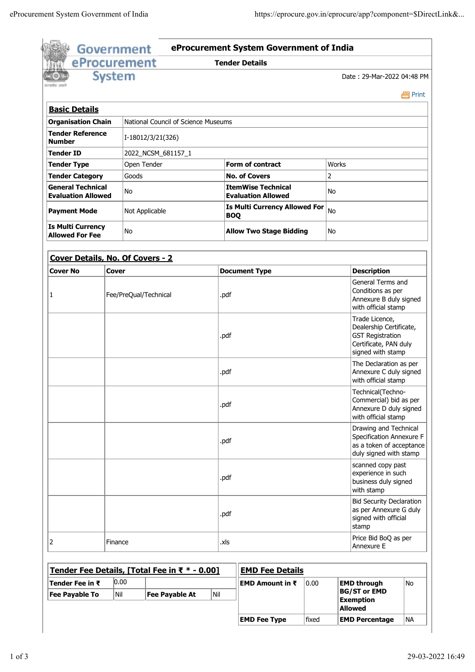|                                                       | <b>System</b>                  |                       |                                     |      |                                      |                                                        |       |                                                                                                         | Date: 29-Mar-2022 04:48 PM                                                                                         |         |  |
|-------------------------------------------------------|--------------------------------|-----------------------|-------------------------------------|------|--------------------------------------|--------------------------------------------------------|-------|---------------------------------------------------------------------------------------------------------|--------------------------------------------------------------------------------------------------------------------|---------|--|
| rangkat cat                                           |                                |                       |                                     |      |                                      |                                                        |       |                                                                                                         |                                                                                                                    | e Print |  |
| <b>Basic Details</b>                                  |                                |                       |                                     |      |                                      |                                                        |       |                                                                                                         |                                                                                                                    |         |  |
| <b>Organisation Chain</b>                             |                                |                       | National Council of Science Museums |      |                                      |                                                        |       |                                                                                                         |                                                                                                                    |         |  |
| <b>Tender Reference</b><br><b>Number</b>              |                                | I-18012/3/21(326)     |                                     |      |                                      |                                                        |       |                                                                                                         |                                                                                                                    |         |  |
| <b>Tender ID</b><br>2022_NCSM_681157_1                |                                |                       |                                     |      |                                      |                                                        |       |                                                                                                         |                                                                                                                    |         |  |
| <b>Tender Type</b>                                    |                                | Open Tender           |                                     |      |                                      | <b>Form of contract</b>                                | Works |                                                                                                         |                                                                                                                    |         |  |
| <b>Tender Category</b>                                |                                | Goods                 |                                     |      |                                      | <b>No. of Covers</b>                                   | 2     |                                                                                                         |                                                                                                                    |         |  |
| <b>General Technical</b><br><b>Evaluation Allowed</b> |                                | No                    |                                     |      |                                      | <b>ItemWise Technical</b><br><b>Evaluation Allowed</b> | No    |                                                                                                         |                                                                                                                    |         |  |
| <b>Payment Mode</b>                                   |                                | Not Applicable        |                                     |      |                                      | <b>Is Multi Currency Allowed For</b><br><b>BOQ</b>     | No    |                                                                                                         |                                                                                                                    |         |  |
| <b>Allowed For Fee</b>                                | <b>Is Multi Currency</b><br>No |                       |                                     |      | <b>Allow Two Stage Bidding</b><br>No |                                                        |       |                                                                                                         |                                                                                                                    |         |  |
| Cover Details, No. Of Covers - 2                      |                                |                       |                                     |      |                                      |                                                        |       |                                                                                                         |                                                                                                                    |         |  |
| <b>Cover No</b>                                       | Cover                          |                       |                                     |      |                                      | <b>Document Type</b>                                   |       |                                                                                                         | <b>Description</b>                                                                                                 |         |  |
| 1                                                     | Fee/PreQual/Technical          |                       |                                     |      | .pdf                                 |                                                        |       | General Terms and<br>Conditions as per<br>Annexure B duly signed<br>with official stamp                 |                                                                                                                    |         |  |
|                                                       |                                |                       |                                     |      | .pdf                                 |                                                        |       |                                                                                                         | Trade Licence,<br>Dealership Certificate,<br><b>GST Registration</b><br>Certificate, PAN duly<br>signed with stamp |         |  |
|                                                       |                                |                       |                                     |      | .pdf                                 |                                                        |       |                                                                                                         | The Declaration as per<br>Annexure C duly signed<br>with official stamp                                            |         |  |
|                                                       |                                |                       |                                     |      |                                      |                                                        |       | Technical(Techno-<br>Commercial) bid as per<br>Annexure D duly signed<br>with official stamp            |                                                                                                                    |         |  |
|                                                       |                                |                       |                                     |      | .pdf                                 |                                                        |       | Drawing and Technical<br>Specification Annexure F<br>as a token of acceptance<br>duly signed with stamp |                                                                                                                    |         |  |
|                                                       |                                |                       |                                     |      | .pdf                                 |                                                        |       |                                                                                                         | scanned copy past<br>experience in such<br>business duly signed<br>with stamp                                      |         |  |
|                                                       |                                |                       |                                     |      | .pdf                                 |                                                        |       | <b>Bid Security Declaration</b><br>as per Annexure G duly<br>signed with official<br>stamp              |                                                                                                                    |         |  |
| $\overline{2}$<br>Finance                             |                                |                       |                                     | .xls |                                      | Price Bid BoQ as per<br>Annexure E                     |       |                                                                                                         |                                                                                                                    |         |  |
| Tender Fee Details, [Total Fee in ₹ * - 0.00]         |                                |                       |                                     |      |                                      | <b>EMD Fee Details</b>                                 |       |                                                                                                         |                                                                                                                    |         |  |
| Tender Fee in ₹                                       | 0.00                           |                       |                                     |      |                                      | EMD Amount in ₹                                        | 0.00  |                                                                                                         | <b>EMD through</b>                                                                                                 | No      |  |
| <b>Fee Payable To</b>                                 | Nil                            | <b>Fee Payable At</b> |                                     | Nil  |                                      |                                                        |       |                                                                                                         | <b>BG/ST or EMD</b><br><b>Exemption</b><br><b>Allowed</b>                                                          |         |  |
|                                                       |                                |                       |                                     |      |                                      |                                                        |       |                                                                                                         |                                                                                                                    |         |  |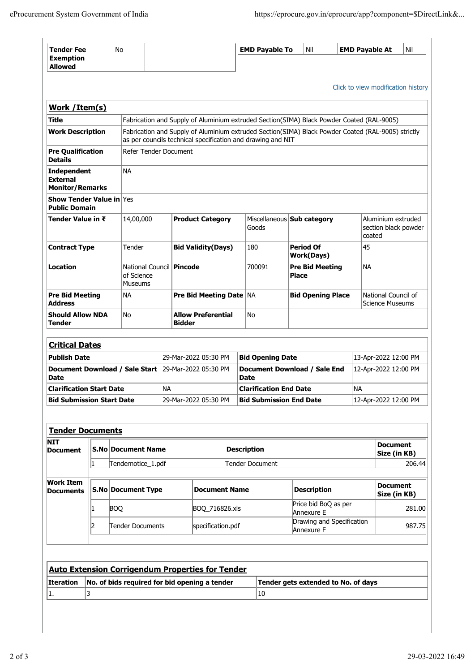Price bid bog as per  $281.00$ <br>Annexure E

Drawing and Specification<br>Annexure F

| <b>Tender Fee</b><br><b>Exemption</b><br><b>Allowed</b>            |                                     | No                                                         |                                                                                                                                                                                                                                                                |                                |                      |                         | <b>EMD Payable To</b>                |                                        | Nil |                                               | <b>EMD Payable At</b>                                | Nil |  |
|--------------------------------------------------------------------|-------------------------------------|------------------------------------------------------------|----------------------------------------------------------------------------------------------------------------------------------------------------------------------------------------------------------------------------------------------------------------|--------------------------------|----------------------|-------------------------|--------------------------------------|----------------------------------------|-----|-----------------------------------------------|------------------------------------------------------|-----|--|
|                                                                    |                                     |                                                            |                                                                                                                                                                                                                                                                |                                |                      |                         |                                      |                                        |     |                                               | Click to view modification history                   |     |  |
| Work /Item(s)                                                      |                                     |                                                            |                                                                                                                                                                                                                                                                |                                |                      |                         |                                      |                                        |     |                                               |                                                      |     |  |
| Title                                                              |                                     |                                                            |                                                                                                                                                                                                                                                                |                                |                      |                         |                                      |                                        |     |                                               |                                                      |     |  |
| <b>Work Description</b>                                            |                                     |                                                            | Fabrication and Supply of Aluminium extruded Section(SIMA) Black Powder Coated (RAL-9005)<br>Fabrication and Supply of Aluminium extruded Section(SIMA) Black Powder Coated (RAL-9005) strictly<br>as per councils technical specification and drawing and NIT |                                |                      |                         |                                      |                                        |     |                                               |                                                      |     |  |
| <b>Pre Qualification</b><br><b>Details</b>                         |                                     |                                                            | Refer Tender Document                                                                                                                                                                                                                                          |                                |                      |                         |                                      |                                        |     |                                               |                                                      |     |  |
| <b>Independent</b><br><b>External</b><br><b>Monitor/Remarks</b>    |                                     | NA.                                                        |                                                                                                                                                                                                                                                                |                                |                      |                         |                                      |                                        |     |                                               |                                                      |     |  |
| <b>Show Tender Value in Yes</b><br><b>Public Domain</b>            |                                     |                                                            |                                                                                                                                                                                                                                                                |                                |                      |                         |                                      |                                        |     |                                               |                                                      |     |  |
|                                                                    | Tender Value in ₹<br>14,00,000      |                                                            |                                                                                                                                                                                                                                                                | <b>Product Category</b>        |                      |                         | Goods                                | Miscellaneous Sub category             |     |                                               | Aluminium extruded<br>section black powder<br>coated |     |  |
| <b>Contract Type</b>                                               | Tender                              |                                                            |                                                                                                                                                                                                                                                                | <b>Bid Validity(Days)</b>      |                      |                         | 180                                  | <b>Period Of</b><br><b>Work(Days)</b>  |     |                                               | 45                                                   |     |  |
| <b>Location</b>                                                    |                                     | National Council   Pincode<br>of Science<br><b>Museums</b> |                                                                                                                                                                                                                                                                |                                |                      |                         | 700091                               | <b>Pre Bid Meeting</b><br><b>Place</b> |     | <b>NA</b>                                     |                                                      |     |  |
| <b>Address</b>                                                     | <b>Pre Bid Meeting</b><br><b>NA</b> |                                                            |                                                                                                                                                                                                                                                                | <b>Pre Bid Meeting Date NA</b> |                      |                         |                                      | <b>Bid Opening Place</b>               |     | National Council of<br><b>Science Museums</b> |                                                      |     |  |
| <b>Should Allow NDA</b><br>No<br>Tender                            |                                     |                                                            | <b>Allow Preferential</b><br><b>Bidder</b>                                                                                                                                                                                                                     |                                |                      | No                      |                                      |                                        |     |                                               |                                                      |     |  |
| <b>Critical Dates</b>                                              |                                     |                                                            |                                                                                                                                                                                                                                                                |                                |                      |                         |                                      |                                        |     |                                               |                                                      |     |  |
| <b>Publish Date</b>                                                |                                     |                                                            | 29-Mar-2022 05:30 PM                                                                                                                                                                                                                                           |                                |                      | <b>Bid Opening Date</b> |                                      |                                        |     | 13-Apr-2022 12:00 PM                          |                                                      |     |  |
| Document Download / Sale Start 29-Mar-2022 05:30 PM<br><b>Date</b> |                                     |                                                            |                                                                                                                                                                                                                                                                |                                |                      |                         | Document Download / Sale End<br>Date |                                        |     |                                               | 12-Apr-2022 12:00 PM                                 |     |  |
| <b>Clarification Start Date</b>                                    |                                     |                                                            |                                                                                                                                                                                                                                                                | <b>NA</b>                      |                      |                         | <b>Clarification End Date</b>        |                                        |     | <b>NA</b>                                     |                                                      |     |  |
| <b>Bid Submission Start Date</b>                                   |                                     |                                                            |                                                                                                                                                                                                                                                                | 29-Mar-2022 05:30 PM           |                      |                         | <b>Bid Submission End Date</b>       |                                        |     |                                               | 12-Apr-2022 12:00 PM                                 |     |  |
|                                                                    |                                     |                                                            |                                                                                                                                                                                                                                                                |                                |                      |                         |                                      |                                        |     |                                               |                                                      |     |  |
| <b>Tender Documents</b>                                            |                                     |                                                            |                                                                                                                                                                                                                                                                |                                |                      |                         |                                      |                                        |     |                                               |                                                      |     |  |
| <b>NIT</b><br><b>Document</b>                                      |                                     |                                                            | S.No Document Name                                                                                                                                                                                                                                             |                                |                      |                         | <b>Description</b>                   |                                        |     |                                               | <b>Document</b><br>Size (in KB)                      |     |  |
|                                                                    | 1                                   |                                                            | Tendernotice_1.pdf                                                                                                                                                                                                                                             |                                |                      |                         | Tender Document                      |                                        |     |                                               | 206.44                                               |     |  |
| <b>Work Item</b><br><b>Documents</b>                               |                                     | <b>S.No Document Type</b>                                  |                                                                                                                                                                                                                                                                |                                | <b>Document Name</b> |                         | <b>Description</b>                   |                                        |     | <b>Document</b><br>Size (in KB)               |                                                      |     |  |

 $\begin{array}{|c|c|c|}\n\hline\n1 & \text{BOQ} & \text{BOQ\_716826.xls}\n\hline\n\end{array}$ Price bid BoQ as per

**Iteration No. of bids required for bid opening a tender Tender gets extended to No. of days**

**Auto Extension Corrigendum Properties for Tender**

1.  $\vert 3 \vert$   $\vert 10 \vert$ 

**2** Tender Documents specification.pdf Drawing and Specification